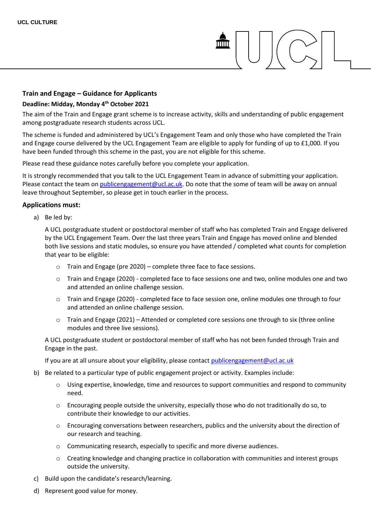# mm

# **Train and Engage – Guidance for Applicants**

#### **Deadline: Midday, Monday 4th October 2021**

The aim of the Train and Engage grant scheme is to increase activity, skills and understanding of public engagement among postgraduate research students across UCL.

The scheme is funded and administered by UCL's Engagement Team and only those who have completed the Train and Engage course delivered by the UCL Engagement Team are eligible to apply for funding of up to £1,000. If you have been funded through this scheme in the past, you are not eligible for this scheme.

Please read these guidance notes carefully before you complete your application.

It is strongly recommended that you talk to the UCL Engagement Team in advance of submitting your application. Please contact the team o[n publicengagement@ucl.ac.uk.](mailto:publicengagement@ucl.ac.uk) Do note that the some of team will be away on annual leave throughout September, so please get in touch earlier in the process.

## **Applications must:**

a) Be led by:

A UCL postgraduate student or postdoctoral member of staff who has completed Train and Engage delivered by the UCL Engagement Team. Over the last three years Train and Engage has moved online and blended both live sessions and static modules, so ensure you have attended / completed what counts for completion that year to be eligible:

- o Train and Engage (pre 2020) complete three face to face sessions.
- o Train and Engage (2020) completed face to face sessions one and two, online modules one and two and attended an online challenge session.
- o Train and Engage (2020) completed face to face session one, online modules one through to four and attended an online challenge session.
- o Train and Engage (2021) Attended or completed core sessions one through to six (three online modules and three live sessions).

A UCL postgraduate student or postdoctoral member of staff who has not been funded through Train and Engage in the past.

If you are at all unsure about your eligibility, please contact [publicengagement@ucl.ac.uk](mailto:publicengagement@ucl.ac.uk)

- b) Be related to a particular type of public engagement project or activity. Examples include:
	- $\circ$  Using expertise, knowledge, time and resources to support communities and respond to community need.
	- o Encouraging people outside the university, especially those who do not traditionally do so, to contribute their knowledge to our activities.
	- $\circ$  Encouraging conversations between researchers, publics and the university about the direction of our research and teaching.
	- o Communicating research, especially to specific and more diverse audiences.
	- o Creating knowledge and changing practice in collaboration with communities and interest groups outside the university.
- c) Build upon the candidate's research/learning.
- d) Represent good value for money.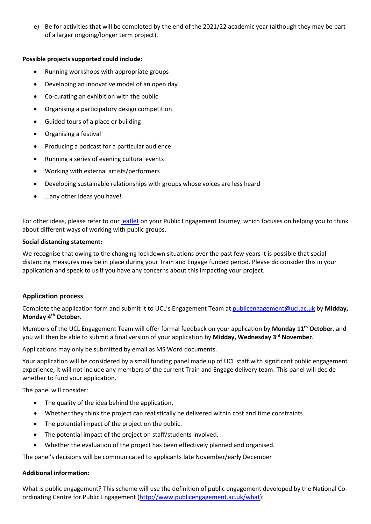e) Be for activities that will be completed by the end of the 2021/22 academic year (although they may be part of a larger ongoing/longer term project).

# **Possible projects supported could include:**

- Running workshops with appropriate groups
- Developing an innovative model of an open day
- Co-curating an exhibition with the public
- Organising a participatory design competition
- Guided tours of a place or building
- Organising a festival
- Producing a podcast for a particular audience
- Running a series of evening cultural events
- Working with external artists/performers
- Developing sustainable relationships with groups whose voices are less heard
- …any other ideas you have!

For other ideas, please refer to ou[r leaflet](https://www.ucl.ac.uk/culture/sites/culture/files/ucl_culture_public_engagement_strategy_document.pdf) on your Public Engagement Journey, which focuses on helping you to think about different ways of working with public groups.

## **Social distancing statement:**

We recognise that owing to the changing lockdown situations over the past few years it is possible that social distancing measures may be in place during your Train and Engage funded period. Please do consider this in your application and speak to us if you have any concerns about this impacting your project.

# **Application process**

Complete the application form and submit it to UCL's Engagement Team at [publicengagement@ucl.ac.uk](mailto:publicengagement@ucl.ac.uk) by **Midday, Monday 4 th October**.

Members of the UCL Engagement Team will offer formal feedback on your application by **Monday 11th October**, and you will then be able to submit a final version of your application by **Midday, Wednesday 3rd November**.

Applications may only be submitted by email as MS Word documents.

Your application will be considered by a small funding panel made up of UCL staff with significant public engagement experience, it will not include any members of the current Train and Engage delivery team. This panel will decide whether to fund your application.

The panel will consider:

- The quality of the idea behind the application.
- Whether they think the project can realistically be delivered within cost and time constraints.
- The potential impact of the project on the public.
- The potential impact of the project on staff/students involved.
- Whether the evaluation of the project has been effectively planned and organised.

The panel's decisions will be communicated to applicants late November/early December

# **Additional information:**

What is public engagement? This scheme will use the definition of public engagement developed by the National Coordinating Centre for Public Engagement [\(http://www.publicengagement.ac.uk/what\)](http://www.publicengagement.ac.uk/what):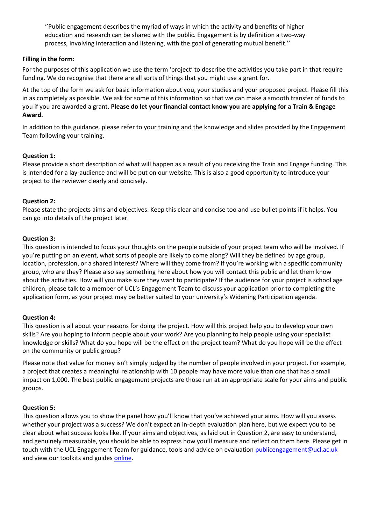''Public engagement describes the myriad of ways in which the activity and benefits of higher education and research can be shared with the public. Engagement is by definition a two-way process, involving interaction and listening, with the goal of generating mutual benefit.''

## **Filling in the form:**

For the purposes of this application we use the term 'project' to describe the activities you take part in that require funding. We do recognise that there are all sorts of things that you might use a grant for.

At the top of the form we ask for basic information about you, your studies and your proposed project. Please fill this in as completely as possible. We ask for some of this information so that we can make a smooth transfer of funds to you if you are awarded a grant. **Please do let your financial contact know you are applying for a Train & Engage Award.**

In addition to this guidance, please refer to your training and the knowledge and slides provided by the Engagement Team following your training.

## **Question 1:**

Please provide a short description of what will happen as a result of you receiving the Train and Engage funding. This is intended for a lay-audience and will be put on our website. This is also a good opportunity to introduce your project to the reviewer clearly and concisely.

## **Question 2:**

Please state the projects aims and objectives. Keep this clear and concise too and use bullet points if it helps. You can go into details of the project later.

## **Question 3:**

This question is intended to focus your thoughts on the people outside of your project team who will be involved. If you're putting on an event, what sorts of people are likely to come along? Will they be defined by age group, location, profession, or a shared interest? Where will they come from? If you're working with a specific community group, who are they? Please also say something here about how you will contact this public and let them know about the activities. How will you make sure they want to participate? If the audience for your project is school age children, please talk to a member of UCL's Engagement Team to discuss your application prior to completing the application form, as your project may be better suited to your university's Widening Participation agenda.

#### **Question 4:**

This question is all about your reasons for doing the project. How will this project help you to develop your own skills? Are you hoping to inform people about your work? Are you planning to help people using your specialist knowledge or skills? What do you hope will be the effect on the project team? What do you hope will be the effect on the community or public group?

Please note that value for money isn't simply judged by the number of people involved in your project. For example, a project that creates a meaningful relationship with 10 people may have more value than one that has a small impact on 1,000. The best public engagement projects are those run at an appropriate scale for your aims and public groups.

#### **Question 5:**

This question allows you to show the panel how you'll know that you've achieved your aims. How will you assess whether your project was a success? We don't expect an in-depth evaluation plan here, but we expect you to be clear about what success looks like. If your aims and objectives, as laid out in Question 2, are easy to understand, and genuinely measurable, you should be able to express how you'll measure and reflect on them here. Please get in touch with the UCL Engagement Team for guidance, tools and advice on evaluatio[n publicengagement@ucl.ac.uk](mailto:publicengagement@ucl.ac.uk) and view our toolkits and guides [online.](https://www.ucl.ac.uk/culture/projects/engagement-toolkits-and-guides)